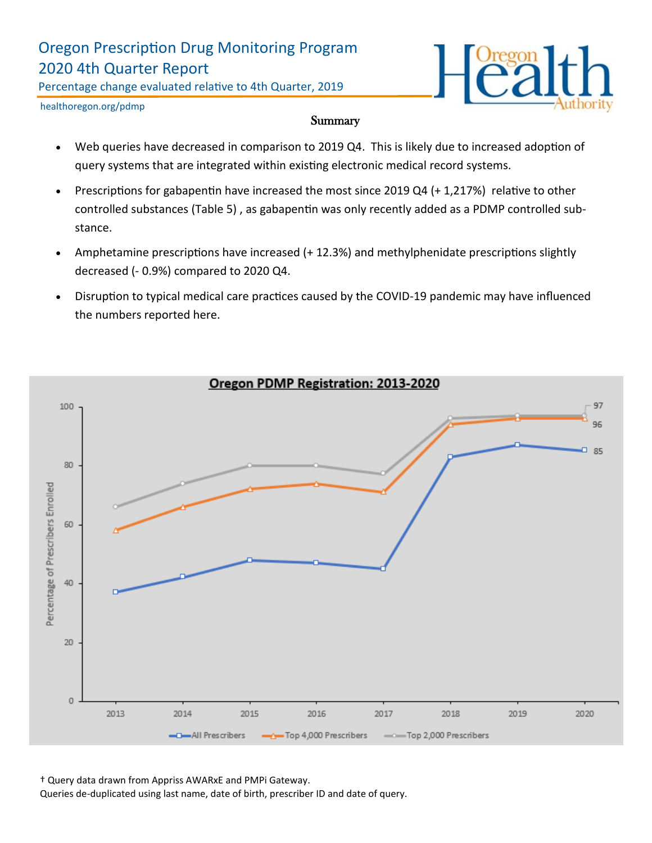# Oregon Prescription Drug Monitoring Program 2020 4th Quarter Report

Percentage change evaluated relative to 4th Quarter, 2019



healthoregon.org/pdmp

#### **Summary**

- Web queries have decreased in comparison to 2019 Q4. This is likely due to increased adoption of query systems that are integrated within existing electronic medical record systems.
- Prescriptions for gabapentin have increased the most since 2019 Q4 (+ 1,217%) relative to other controlled substances (Table 5) , as gabapentin was only recently added as a PDMP controlled substance.
- Amphetamine prescriptions have increased (+ 12.3%) and methylphenidate prescriptions slightly decreased (- 0.9%) compared to 2020 Q4.
- Disruption to typical medical care practices caused by the COVID-19 pandemic may have influenced the numbers reported here.



† Query data drawn from Appriss AWARxE and PMPi Gateway.

Queries de-duplicated using last name, date of birth, prescriber ID and date of query.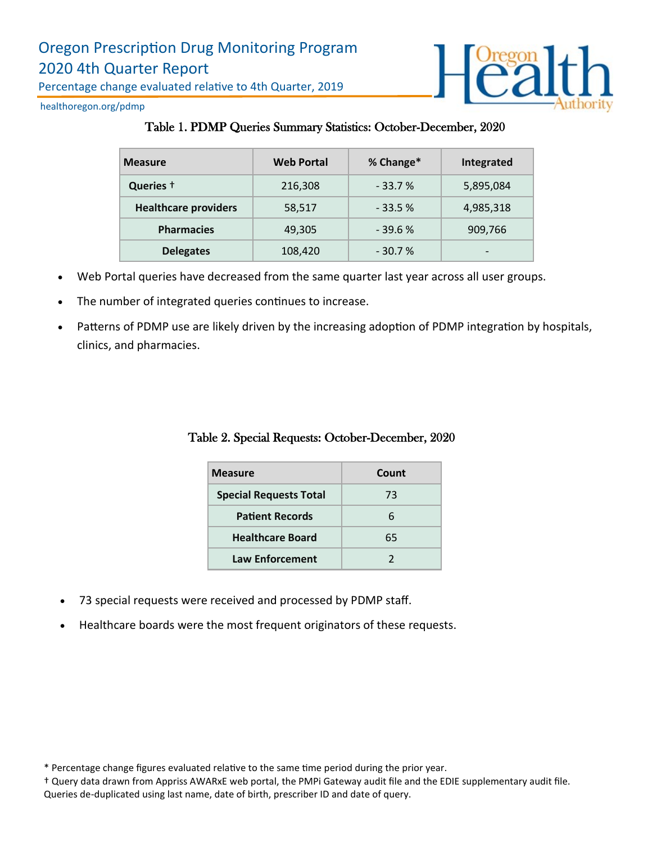

healthoregon.org/pdmp

#### Table 1. PDMP Queries Summary Statistics: October-December, 2020

| <b>Measure</b>              | <b>Web Portal</b> | % Change* | Integrated |
|-----------------------------|-------------------|-----------|------------|
| Queries +                   | 216,308           | $-33.7%$  | 5,895,084  |
| <b>Healthcare providers</b> | 58,517            | $-33.5%$  | 4,985,318  |
| <b>Pharmacies</b>           | 49,305            | $-39.6%$  | 909,766    |
| <b>Delegates</b>            | 108,420           | $-30.7%$  | -          |

- Web Portal queries have decreased from the same quarter last year across all user groups.
- The number of integrated queries continues to increase.
- Patterns of PDMP use are likely driven by the increasing adoption of PDMP integration by hospitals, clinics, and pharmacies.

## Table 2. Special Requests: October-December, 2020

| <b>Measure</b>                | <b>Count</b> |  |
|-------------------------------|--------------|--|
| <b>Special Requests Total</b> | 73           |  |
| <b>Patient Records</b>        | 6            |  |
| <b>Healthcare Board</b>       | 65           |  |
| <b>Law Enforcement</b>        |              |  |

- 73 special requests were received and processed by PDMP staff.
- Healthcare boards were the most frequent originators of these requests.

† Query data drawn from Appriss AWARxE web portal, the PMPi Gateway audit file and the EDIE supplementary audit file. Queries de-duplicated using last name, date of birth, prescriber ID and date of query.

<sup>\*</sup> Percentage change figures evaluated relative to the same time period during the prior year.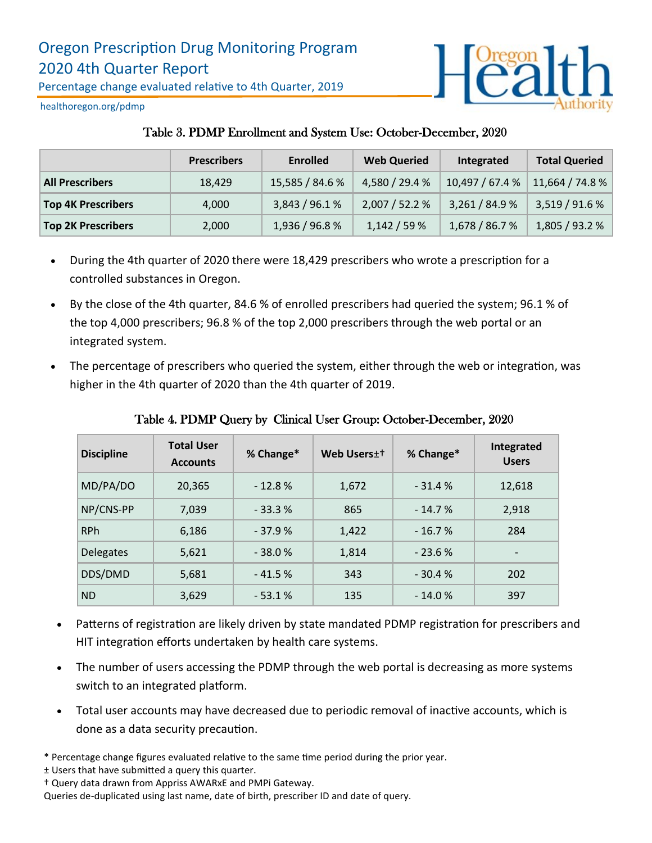

healthoregon.org/pdmp

## Table 3. PDMP Enrollment and System Use: October-December, 2020

|                           | <b>Prescribers</b> | <b>Enrolled</b> | <b>Web Queried</b> | Integrated      | <b>Total Queried</b> |
|---------------------------|--------------------|-----------------|--------------------|-----------------|----------------------|
| <b>All Prescribers</b>    | 18.429             | 15,585 / 84.6 % | 4,580 / 29.4 %     | 10,497 / 67.4 % | 11,664 / 74.8 %      |
| <b>Top 4K Prescribers</b> | 4.000              | 3,843 / 96.1 %  | 2,007/52.2%        | 3,261/84.9%     | 3,519 / 91.6 %       |
| <b>Top 2K Prescribers</b> | 2,000              | 1,936 / 96.8 %  | 1,142/59%          | 1,678 / 86.7 %  | 1,805 / 93.2 %       |

- During the 4th quarter of 2020 there were 18,429 prescribers who wrote a prescription for a controlled substances in Oregon.
- By the close of the 4th quarter, 84.6 % of enrolled prescribers had queried the system; 96.1 % of the top 4,000 prescribers; 96.8 % of the top 2,000 prescribers through the web portal or an integrated system.
- The percentage of prescribers who queried the system, either through the web or integration, was higher in the 4th quarter of 2020 than the 4th quarter of 2019.

| <b>Discipline</b> | <b>Total User</b><br><b>Accounts</b> | % Change* | Web Users <sup>++</sup> | % Change* | Integrated<br><b>Users</b> |
|-------------------|--------------------------------------|-----------|-------------------------|-----------|----------------------------|
| MD/PA/DO          | 20,365                               | $-12.8%$  | 1,672                   | $-31.4%$  | 12,618                     |
| NP/CNS-PP         | 7,039                                | $-33.3%$  | 865                     | $-14.7%$  | 2,918                      |
| <b>RPh</b>        | 6,186                                | $-37.9%$  | 1,422                   | $-16.7%$  | 284                        |
| <b>Delegates</b>  | 5,621                                | $-38.0%$  | 1,814                   | $-23.6%$  | $\overline{\phantom{a}}$   |
| DDS/DMD           | 5,681                                | $-41.5%$  | 343                     | $-30.4%$  | 202                        |
| <b>ND</b>         | 3,629                                | $-53.1%$  | 135                     | $-14.0%$  | 397                        |

Table 4. PDMP Query by Clinical User Group: October-December, 2020

- Patterns of registration are likely driven by state mandated PDMP registration for prescribers and HIT integration efforts undertaken by health care systems.
- The number of users accessing the PDMP through the web portal is decreasing as more systems switch to an integrated platform.
- Total user accounts may have decreased due to periodic removal of inactive accounts, which is done as a data security precaution.
- \* Percentage change figures evaluated relative to the same time period during the prior year.

<sup>±</sup> Users that have submitted a query this quarter.

<sup>†</sup> Query data drawn from Appriss AWARxE and PMPi Gateway.

Queries de-duplicated using last name, date of birth, prescriber ID and date of query.